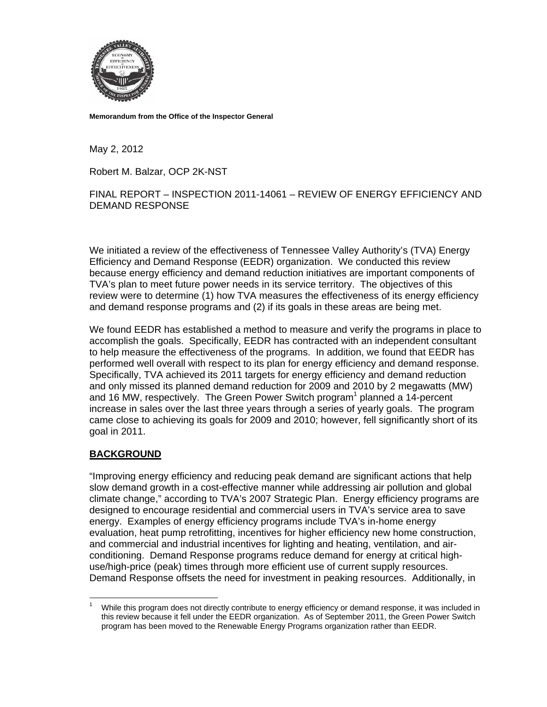

**Memorandum from the Office of the Inspector General** 

May 2, 2012

Robert M. Balzar, OCP 2K-NST

FINAL REPORT – INSPECTION 2011-14061 – REVIEW OF ENERGY EFFICIENCY AND DEMAND RESPONSE

We initiated a review of the effectiveness of Tennessee Valley Authority's (TVA) Energy Efficiency and Demand Response (EEDR) organization. We conducted this review because energy efficiency and demand reduction initiatives are important components of TVA's plan to meet future power needs in its service territory. The objectives of this review were to determine (1) how TVA measures the effectiveness of its energy efficiency and demand response programs and (2) if its goals in these areas are being met.

We found EEDR has established a method to measure and verify the programs in place to accomplish the goals. Specifically, EEDR has contracted with an independent consultant to help measure the effectiveness of the programs. In addition, we found that EEDR has performed well overall with respect to its plan for energy efficiency and demand response. Specifically, TVA achieved its 2011 targets for energy efficiency and demand reduction and only missed its planned demand reduction for 2009 and 2010 by 2 megawatts (MW) and 16 MW, respectively. The Green Power Switch program<sup>1</sup> planned a 14-percent increase in sales over the last three years through a series of yearly goals. The program came close to achieving its goals for 2009 and 2010; however, fell significantly short of its goal in 2011.

## **BACKGROUND**

1

"Improving energy efficiency and reducing peak demand are significant actions that help slow demand growth in a cost-effective manner while addressing air pollution and global climate change," according to TVA's 2007 Strategic Plan. Energy efficiency programs are designed to encourage residential and commercial users in TVA's service area to save energy. Examples of energy efficiency programs include TVA's in-home energy evaluation, heat pump retrofitting, incentives for higher efficiency new home construction, and commercial and industrial incentives for lighting and heating, ventilation, and airconditioning. Demand Response programs reduce demand for energy at critical highuse/high-price (peak) times through more efficient use of current supply resources. Demand Response offsets the need for investment in peaking resources. Additionally, in

<sup>1</sup> While this program does not directly contribute to energy efficiency or demand response, it was included in this review because it fell under the EEDR organization. As of September 2011, the Green Power Switch program has been moved to the Renewable Energy Programs organization rather than EEDR.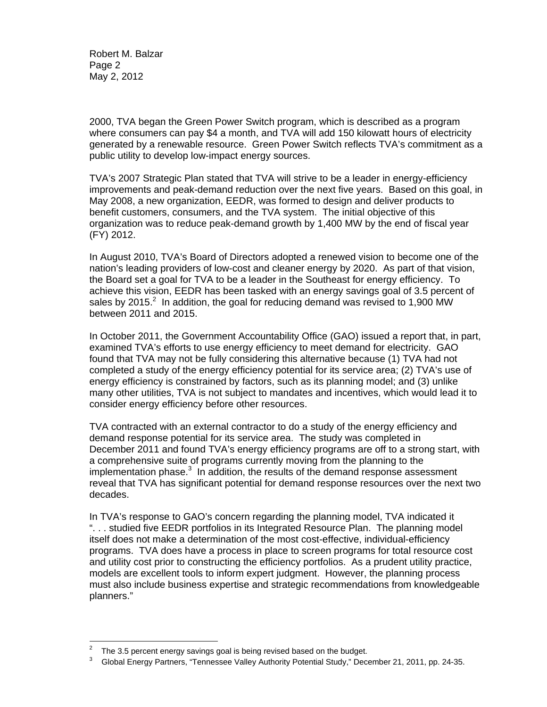Robert M. Balzar Page 2 May 2, 2012

2000, TVA began the Green Power Switch program, which is described as a program where consumers can pay \$4 a month, and TVA will add 150 kilowatt hours of electricity generated by a renewable resource. Green Power Switch reflects TVA's commitment as a public utility to develop low-impact energy sources.

TVA's 2007 Strategic Plan stated that TVA will strive to be a leader in energy-efficiency improvements and peak-demand reduction over the next five years. Based on this goal, in May 2008, a new organization, EEDR, was formed to design and deliver products to benefit customers, consumers, and the TVA system. The initial objective of this organization was to reduce peak-demand growth by 1,400 MW by the end of fiscal year (FY) 2012.

In August 2010, TVA's Board of Directors adopted a renewed vision to become one of the nation's leading providers of low-cost and cleaner energy by 2020. As part of that vision, the Board set a goal for TVA to be a leader in the Southeast for energy efficiency. To achieve this vision, EEDR has been tasked with an energy savings goal of 3.5 percent of sales by 2015. $^2$  In addition, the goal for reducing demand was revised to 1,900 MW between 2011 and 2015.

In October 2011, the Government Accountability Office (GAO) issued a report that, in part, examined TVA's efforts to use energy efficiency to meet demand for electricity. GAO found that TVA may not be fully considering this alternative because (1) TVA had not completed a study of the energy efficiency potential for its service area; (2) TVA's use of energy efficiency is constrained by factors, such as its planning model; and (3) unlike many other utilities, TVA is not subject to mandates and incentives, which would lead it to consider energy efficiency before other resources.

TVA contracted with an external contractor to do a study of the energy efficiency and demand response potential for its service area. The study was completed in December 2011 and found TVA's energy efficiency programs are off to a strong start, with a comprehensive suite of programs currently moving from the planning to the implementation phase. $3$  In addition, the results of the demand response assessment reveal that TVA has significant potential for demand response resources over the next two decades.

In TVA's response to GAO's concern regarding the planning model, TVA indicated it ". . . studied five EEDR portfolios in its Integrated Resource Plan. The planning model itself does not make a determination of the most cost-effective, individual-efficiency programs. TVA does have a process in place to screen programs for total resource cost and utility cost prior to constructing the efficiency portfolios. As a prudent utility practice, models are excellent tools to inform expert judgment. However, the planning process must also include business expertise and strategic recommendations from knowledgeable planners."

1

<sup>2</sup> The 3.5 percent energy savings goal is being revised based on the budget.

<sup>3</sup> Global Energy Partners, "Tennessee Valley Authority Potential Study," December 21, 2011, pp. 24-35.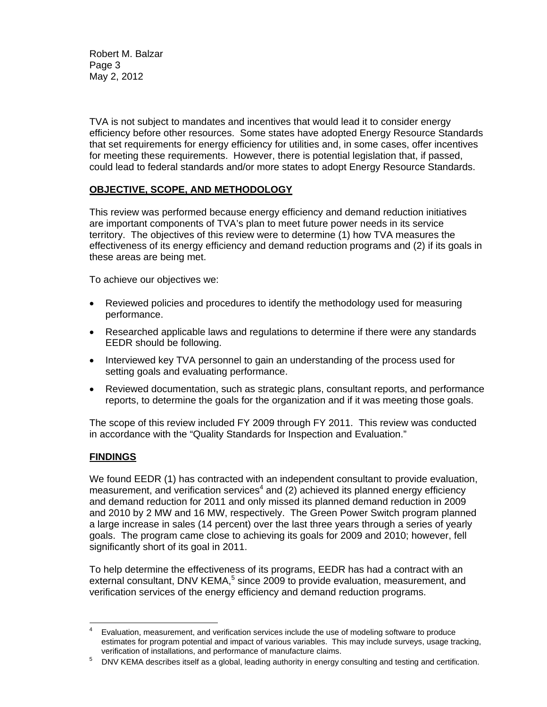Robert M. Balzar Page 3 May 2, 2012

TVA is not subject to mandates and incentives that would lead it to consider energy efficiency before other resources. Some states have adopted Energy Resource Standards that set requirements for energy efficiency for utilities and, in some cases, offer incentives for meeting these requirements. However, there is potential legislation that, if passed, could lead to federal standards and/or more states to adopt Energy Resource Standards.

## **OBJECTIVE, SCOPE, AND METHODOLOGY**

This review was performed because energy efficiency and demand reduction initiatives are important components of TVA's plan to meet future power needs in its service territory. The objectives of this review were to determine (1) how TVA measures the effectiveness of its energy efficiency and demand reduction programs and (2) if its goals in these areas are being met.

To achieve our objectives we:

- Reviewed policies and procedures to identify the methodology used for measuring performance.
- Researched applicable laws and regulations to determine if there were any standards EEDR should be following.
- Interviewed key TVA personnel to gain an understanding of the process used for setting goals and evaluating performance.
- Reviewed documentation, such as strategic plans, consultant reports, and performance reports, to determine the goals for the organization and if it was meeting those goals.

The scope of this review included FY 2009 through FY 2011. This review was conducted in accordance with the "Quality Standards for Inspection and Evaluation."

## **FINDINGS**

We found EEDR (1) has contracted with an independent consultant to provide evaluation, measurement, and verification services<sup>4</sup> and (2) achieved its planned energy efficiency and demand reduction for 2011 and only missed its planned demand reduction in 2009 and 2010 by 2 MW and 16 MW, respectively. The Green Power Switch program planned a large increase in sales (14 percent) over the last three years through a series of yearly goals. The program came close to achieving its goals for 2009 and 2010; however, fell significantly short of its goal in 2011.

To help determine the effectiveness of its programs, EEDR has had a contract with an external consultant, DNV KEMA,<sup>5</sup> since 2009 to provide evaluation, measurement, and verification services of the energy efficiency and demand reduction programs.

 $\frac{1}{4}$  Evaluation, measurement, and verification services include the use of modeling software to produce estimates for program potential and impact of various variables. This may include surveys, usage tracking, verification of installations, and performance of manufacture claims.<br>5 DNV KEMA describes itself as a global leading authority in energy

DNV KEMA describes itself as a global, leading authority in energy consulting and testing and certification.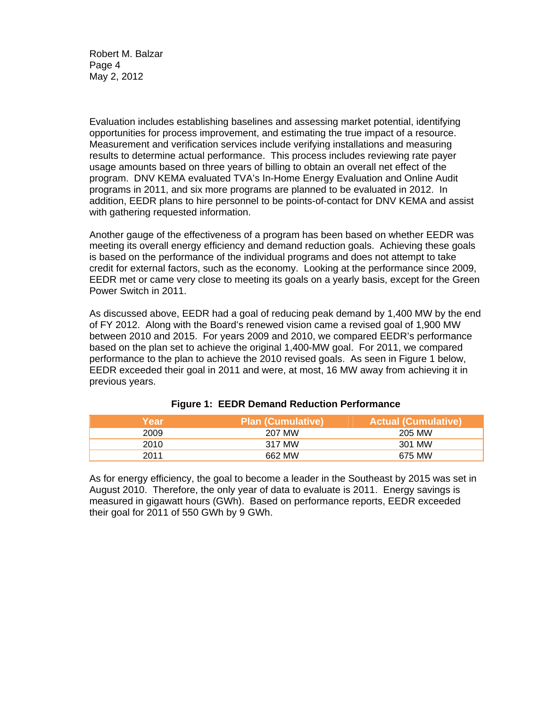Robert M. Balzar Page 4 May 2, 2012

Evaluation includes establishing baselines and assessing market potential, identifying opportunities for process improvement, and estimating the true impact of a resource. Measurement and verification services include verifying installations and measuring results to determine actual performance. This process includes reviewing rate payer usage amounts based on three years of billing to obtain an overall net effect of the program. DNV KEMA evaluated TVA's In-Home Energy Evaluation and Online Audit programs in 2011, and six more programs are planned to be evaluated in 2012. In addition, EEDR plans to hire personnel to be points-of-contact for DNV KEMA and assist with gathering requested information.

Another gauge of the effectiveness of a program has been based on whether EEDR was meeting its overall energy efficiency and demand reduction goals. Achieving these goals is based on the performance of the individual programs and does not attempt to take credit for external factors, such as the economy. Looking at the performance since 2009, EEDR met or came very close to meeting its goals on a yearly basis, except for the Green Power Switch in 2011.

As discussed above, EEDR had a goal of reducing peak demand by 1,400 MW by the end of FY 2012. Along with the Board's renewed vision came a revised goal of 1,900 MW between 2010 and 2015. For years 2009 and 2010, we compared EEDR's performance based on the plan set to achieve the original 1,400-MW goal. For 2011, we compared performance to the plan to achieve the 2010 revised goals. As seen in Figure 1 below, EEDR exceeded their goal in 2011 and were, at most, 16 MW away from achieving it in previous years.

| \Year \ | <b>Plan (Cumulative)</b> | <b>Actual (Cumulative)</b> |
|---------|--------------------------|----------------------------|
| 2009    | 207 MW                   | 205 MW                     |
| 2010    | 317 MW                   | 301 MW                     |
| 2011    | 662 MW                   | 675 MW                     |

|  |  |  | <b>Figure 1: EEDR Demand Reduction Performance</b> |
|--|--|--|----------------------------------------------------|
|--|--|--|----------------------------------------------------|

As for energy efficiency, the goal to become a leader in the Southeast by 2015 was set in August 2010. Therefore, the only year of data to evaluate is 2011. Energy savings is measured in gigawatt hours (GWh). Based on performance reports, EEDR exceeded their goal for 2011 of 550 GWh by 9 GWh.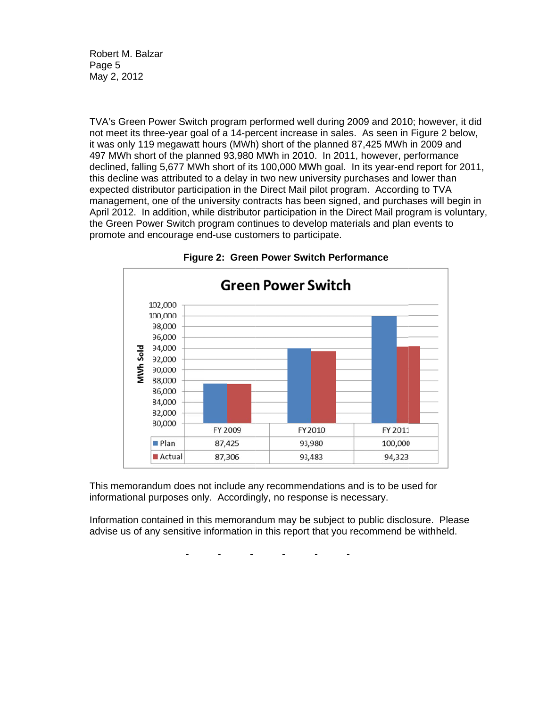Ro bert M. Balz zar Pag ge 5 Ma ay 2, 2012

TVA's Green Power Switch program performed well during 2009 and 2010; however, it did not meet its three-year goal of a 14-percent increase in sales. As seen in Figure 2 below, it was only 119 megawatt hours (MWh) short of the planned 87,425 MWh in 2009 and 497 MWh short of the planned 93,980 MWh in 2010. In 2011, however, performance it was only 119 megawatt hours (MWh) short of the planned 87,425 MWh in 2009 and<br>497 MWh short of the planned 93,980 MWh in 2010. In 2011, however, performance<br>declined, falling 5,677 MWh short of its 100,000 MWh goal. I this decline was attributed to a delay in two new university purchases and lower than expected distributor participation in the Direct Mail pilot program. According to TVA management, one of the university contracts has been signed, and purchases will begin in April 2012. In addition, while distributor participation in the Direct Mail program is voluntary, the Green Power Switch program continues to develop materials and plan events to promote and encourage end-use customers to participate.





This memorandum does not include any recommendations and is to be used for informational purposes only. Accordingly, no response is necessary.

Information contained in this memorandum may be subject to public disclosure. Please advise us of any sensitive information in this report that you recommend be withheld.

> - - - - - -